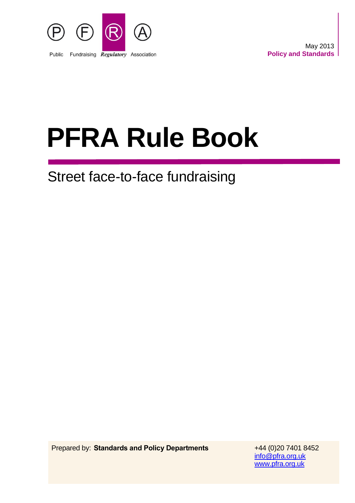

# **PFRA Rule Book**

# Street face-to-face fundraising

Prepared by: **Standards and Policy Departments** +44 (0)20 7401 8452

[info@pfra.org.uk](mailto:info@pfra.org.uk) [www.pfra.org.uk](http://www.pfra.org.uk/)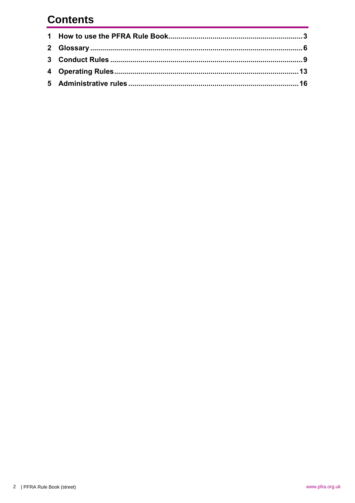# **Contents**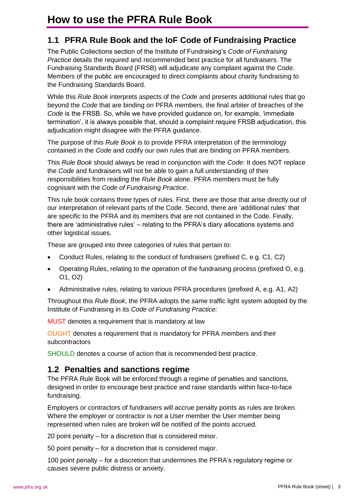# **1.1 PFRA Rule Book and the IoF Code of Fundraising Practice**

The Public Collections section of the Institute of Fundraising's *Code of Fundraising Practice* details the required and recommended best practice for all fundraisers. The Fundraising Standards Board (FRSB) will adjudicate any complaint against the Code. Members of the public are encouraged to direct complaints about charity fundraising to the Fundraising Standards Board.

While this *Rule Book* interprets aspects of the *Code* and presents additional rules that go beyond the *Code* that are binding on PFRA members, the final arbiter of breaches of the *Code* is the FRSB. So, while we have provided guidance on, for example, 'immediate termination', it is always possible that, should a complaint require FRSB adjudication, this adjudication might disagree with the PFRA guidance.

The purpose of this *Rule Book* is to provide PFRA interpretation of the terminology contained in the *Code* and codify our own rules that are binding on PFRA members.

This *Rule Book* should always be read in conjunction with the *Code*: It does NOT replace the *Code* and fundraisers will not be able to gain a full understanding of their responsibilities from reading the *Rule Book* alone. PFRA members must be fully cognisant with the *Code of Fundraising Practice*.

This rule book contains three types of rules. First, there are those that arise directly out of our interpretation of relevant parts of the Code. Second, there are 'additional rules' that are specific to the PFRA and its members that are not contained in the Code. Finally, there are 'administrative rules' – relating to the PFRA's diary allocations systems and other logistical issues.

These are grouped into three categories of rules that pertain to:

- Conduct Rules, relating to the conduct of fundraisers (prefixed C, e.g. C1, C2)
- Operating Rules, relating to the operation of the fundraising process (prefixed O, e.g. O1, O2)
- Administrative rules, relating to various PFRA procedures (prefixed A, e.g. A1, A2)

Throughout this *Rule Book*, the PFRA adopts the same traffic light system adopted by the Institute of Fundraising in its *Code of Fundraising Practice:*

MUST denotes a requirement that is mandatory at law

OUGHT denotes a requirement that is mandatory for PFRA members and their subcontractors

SHOULD denotes a course of action that is recommended best practice.

# **1.2 Penalties and sanctions regime**

The PFRA Rule Book will be enforced through a regime of penalties and sanctions, designed in order to encourage best practice and raise standards within face-to-face fundraising.

Employers or contractors of fundraisers will accrue penalty points as rules are broken. Where the employer or contractor is not a User member the User member being represented when rules are broken will be notified of the points accrued.

20 point penalty – for a discretion that is considered minor.

50 point penalty – for a discretion that is considered major.

100 point penalty – for a discretion that undermines the PFRA's regulatory regime or causes severe public distress or anxiety.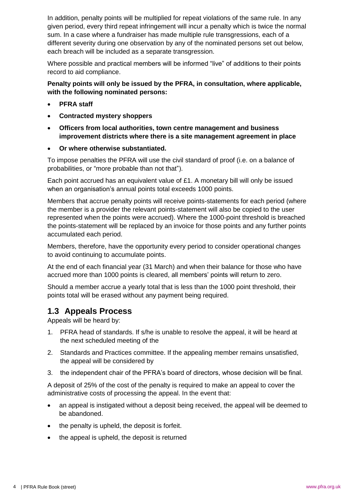In addition, penalty points will be multiplied for repeat violations of the same rule. In any given period, every third repeat infringement will incur a penalty which is twice the normal sum. In a case where a fundraiser has made multiple rule transgressions, each of a different severity during one observation by any of the nominated persons set out below, each breach will be included as a separate transgression.

Where possible and practical members will be informed "live" of additions to their points record to aid compliance.

#### **Penalty points will only be issued by the PFRA, in consultation, where applicable, with the following nominated persons:**

- **PFRA staff**
- **Contracted mystery shoppers**
- **Officers from local authorities, town centre management and business improvement districts where there is a site management agreement in place**
- **Or where otherwise substantiated.**

To impose penalties the PFRA will use the civil standard of proof (i.e. on a balance of probabilities, or "more probable than not that").

Each point accrued has an equivalent value of £1. A monetary bill will only be issued when an organisation's annual points total exceeds 1000 points.

Members that accrue penalty points will receive points-statements for each period (where the member is a provider the relevant points-statement will also be copied to the user represented when the points were accrued). Where the 1000-point threshold is breached the points-statement will be replaced by an invoice for those points and any further points accumulated each period.

Members, therefore, have the opportunity every period to consider operational changes to avoid continuing to accumulate points.

At the end of each financial year (31 March) and when their balance for those who have accrued more than 1000 points is cleared, all members' points will return to zero.

Should a member accrue a yearly total that is less than the 1000 point threshold, their points total will be erased without any payment being required.

# **1.3 Appeals Process**

Appeals will be heard by:

- 1. PFRA head of standards. If s/he is unable to resolve the appeal, it will be heard at the next scheduled meeting of the
- 2. Standards and Practices committee. If the appealing member remains unsatisfied, the appeal will be considered by
- 3. the independent chair of the PFRA's board of directors, whose decision will be final.

A deposit of 25% of the cost of the penalty is required to make an appeal to cover the administrative costs of processing the appeal. In the event that:

- an appeal is instigated without a deposit being received, the appeal will be deemed to be abandoned.
- the penalty is upheld, the deposit is forfeit.
- the appeal is upheld, the deposit is returned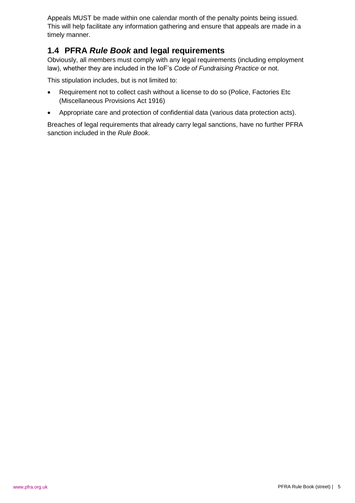Appeals MUST be made within one calendar month of the penalty points being issued. This will help facilitate any information gathering and ensure that appeals are made in a timely manner.

# **1.4 PFRA** *Rule Book* **and legal requirements**

Obviously, all members must comply with any legal requirements (including employment law), whether they are included in the IoF's *Code of Fundraising Practice* or not.

This stipulation includes, but is not limited to:

- Requirement not to collect cash without a license to do so (Police, Factories Etc (Miscellaneous Provisions Act 1916)
- Appropriate care and protection of confidential data (various data protection acts).

Breaches of legal requirements that already carry legal sanctions, have no further PFRA sanction included in the *Rule Book*.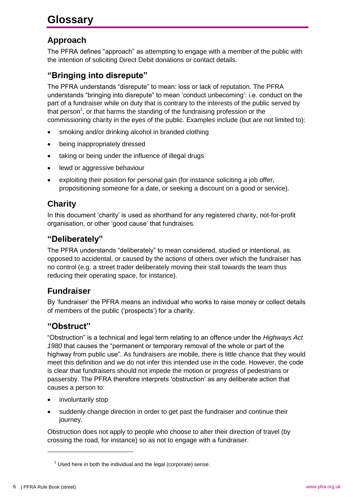# **Approach**

The PFRA defines "approach" as attempting to engage with a member of the public with the intention of soliciting Direct Debit donations or contact details.

# **"Bringing into disrepute"**

The PFRA understands "disrepute" to mean: loss or lack of reputation. The PFRA understands "bringing into disrepute" to mean 'conduct unbecoming': i.e. conduct on the part of a fundraiser while on duty that is contrary to the interests of the public served by that person<sup>1</sup>, or that harms the standing of the fundraising profession or the commissioning charity in the eyes of the public. Examples include (but are not limited to):

- smoking and/or drinking alcohol in branded clothing
- being inappropriately dressed
- taking or being under the influence of illegal drugs
- lewd or aggressive behaviour
- exploiting their position for personal gain (for instance soliciting a job offer, propositioning someone for a date, or seeking a discount on a good or service).

# **Charity**

In this document 'charity' is used as shorthand for any registered charity, not-for-profit organisation, or other 'good cause' that fundraises.

#### **"Deliberately"**

The PFRA understands "deliberately" to mean considered, studied or intentional, as opposed to accidental, or caused by the actions of others over which the fundraiser has no control (e.g. a street trader deliberately moving their stall towards the team thus reducing their operating space, for instance).

# **Fundraiser**

By 'fundraiser' the PFRA means an individual who works to raise money or collect details of members of the public ('prospects') for a charity.

#### **"Obstruct"**

"Obstruction" is a technical and legal term relating to an offence under the *Highways Act 1980* that causes the "permanent or temporary removal of the whole or part of the highway from public use". As fundraisers are mobile, there is little chance that they would meet this definition and we do not infer this intended use in the code. However, the code is clear that fundraisers should not impede the motion or progress of pedestrians or passersby. The PFRA therefore interprets 'obstruction' as any deliberate action that causes a person to:

- involuntarily stop
- suddenly change direction in order to get past the fundraiser and continue their journey.

Obstruction does not apply to people who choose to alter their direction of travel (by crossing the road, for instance) so as not to engage with a fundraiser.

<u>.</u>

 $1$  Used here in both the individual and the legal (corporate) sense.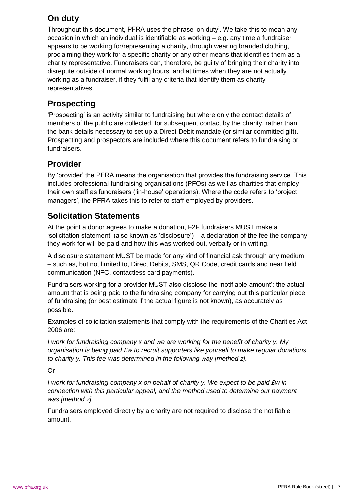# **On duty**

Throughout this document, PFRA uses the phrase 'on duty'. We take this to mean any occasion in which an individual is identifiable as working – e.g. any time a fundraiser appears to be working for/representing a charity, through wearing branded clothing, proclaiming they work for a specific charity or any other means that identifies them as a charity representative. Fundraisers can, therefore, be guilty of bringing their charity into disrepute outside of normal working hours, and at times when they are not actually working as a fundraiser, if they fulfil any criteria that identify them as charity representatives.

# **Prospecting**

'Prospecting' is an activity similar to fundraising but where only the contact details of members of the public are collected, for subsequent contact by the charity, rather than the bank details necessary to set up a Direct Debit mandate (or similar committed gift). Prospecting and prospectors are included where this document refers to fundraising or fundraisers.

# **Provider**

By 'provider' the PFRA means the organisation that provides the fundraising service. This includes professional fundraising organisations (PFOs) as well as charities that employ their own staff as fundraisers ('in-house' operations). Where the code refers to 'project managers', the PFRA takes this to refer to staff employed by providers.

# **Solicitation Statements**

At the point a donor agrees to make a donation, F2F fundraisers MUST make a 'solicitation statement' (also known as 'disclosure') – a declaration of the fee the company they work for will be paid and how this was worked out, verbally or in writing.

A disclosure statement MUST be made for any kind of financial ask through any medium – such as, but not limited to, Direct Debits, SMS, QR Code, credit cards and near field communication (NFC, contactless card payments).

Fundraisers working for a provider MUST also disclose the 'notifiable amount': the actual amount that is being paid to the fundraising company for carrying out this particular piece of fundraising (or best estimate if the actual figure is not known), as accurately as possible.

Examples of solicitation statements that comply with the requirements of the Charities Act 2006 are:

*I work for fundraising company x and we are working for the benefit of charity y. My organisation is being paid £w to recruit supporters like yourself to make regular donations to charity y. This fee was determined in the following way [method z].*

Or

*I* work for fundraising company x on behalf of charity y. We expect to be paid £w in *connection with this particular appeal, and the method used to determine our payment was [method z].*

Fundraisers employed directly by a charity are not required to disclose the notifiable amount.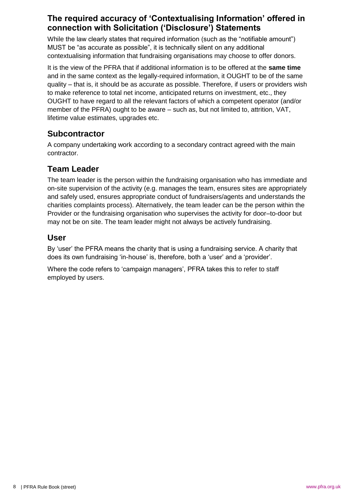# **The required accuracy of 'Contextualising Information' offered in connection with Solicitation ('Disclosure') Statements**

While the law clearly states that required information (such as the "notifiable amount") MUST be "as accurate as possible", it is technically silent on any additional contextualising information that fundraising organisations may choose to offer donors.

It is the view of the PFRA that if additional information is to be offered at the **same time** and in the same context as the legally-required information, it OUGHT to be of the same quality – that is, it should be as accurate as possible. Therefore, if users or providers wish to make reference to total net income, anticipated returns on investment, etc., they OUGHT to have regard to all the relevant factors of which a competent operator (and/or member of the PFRA) ought to be aware – such as, but not limited to, attrition, VAT, lifetime value estimates, upgrades etc.

# **Subcontractor**

A company undertaking work according to a secondary contract agreed with the main contractor.

# **Team Leader**

The team leader is the person within the fundraising organisation who has immediate and on-site supervision of the activity (e.g. manages the team, ensures sites are appropriately and safely used, ensures appropriate conduct of fundraisers/agents and understands the charities complaints process). Alternatively, the team leader can be the person within the Provider or the fundraising organisation who supervises the activity for door–to-door but may not be on site. The team leader might not always be actively fundraising.

# **User**

By 'user' the PFRA means the charity that is using a fundraising service. A charity that does its own fundraising 'in-house' is, therefore, both a 'user' and a 'provider'.

Where the code refers to 'campaign managers', PFRA takes this to refer to staff employed by users.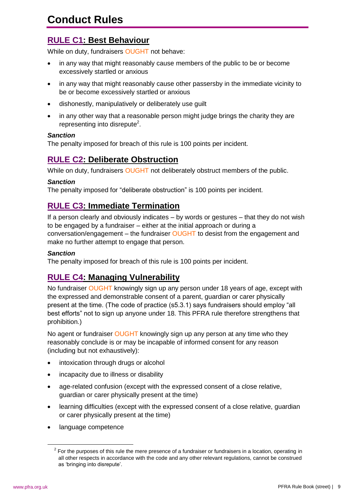# **Conduct Rules**

# **RULE C1: Best Behaviour**

While on duty, fundraisers OUGHT not behave:

- in any way that might reasonably cause members of the public to be or become excessively startled or anxious
- in any way that might reasonably cause other passersby in the immediate vicinity to be or become excessively startled or anxious
- dishonestly, manipulatively or deliberately use guilt
- in any other way that a reasonable person might judge brings the charity they are representing into disrepute<sup>2</sup>.

#### *Sanction*

The penalty imposed for breach of this rule is 100 points per incident.

# **RULE C2: Deliberate Obstruction**

While on duty, fundraisers OUGHT not deliberately obstruct members of the public.

#### *Sanction*

The penalty imposed for "deliberate obstruction" is 100 points per incident.

# **RULE C3: Immediate Termination**

If a person clearly and obviously indicates – by words or gestures – that they do not wish to be engaged by a fundraiser – either at the initial approach or during a conversation/engagement – the fundraiser OUGHT to desist from the engagement and make no further attempt to engage that person.

#### *Sanction*

The penalty imposed for breach of this rule is 100 points per incident.

# **RULE C4: Managing Vulnerability**

No fundraiser OUGHT knowingly sign up any person under 18 years of age, except with the expressed and demonstrable consent of a parent, guardian or carer physically present at the time. (The code of practice (s5.3.1) says fundraisers should employ "all best efforts" not to sign up anyone under 18. This PFRA rule therefore strengthens that prohibition.)

No agent or fundraiser OUGHT knowingly sign up any person at any time who they reasonably conclude is or may be incapable of informed consent for any reason (including but not exhaustively):

- intoxication through drugs or alcohol
- incapacity due to illness or disability
- age-related confusion (except with the expressed consent of a close relative, guardian or carer physically present at the time)
- learning difficulties (except with the expressed consent of a close relative, guardian or carer physically present at the time)
- language competence

<u>.</u>

 $2$  For the purposes of this rule the mere presence of a fundraiser or fundraisers in a location, operating in all other respects in accordance with the code and any other relevant regulations, cannot be construed as 'bringing into disrepute'.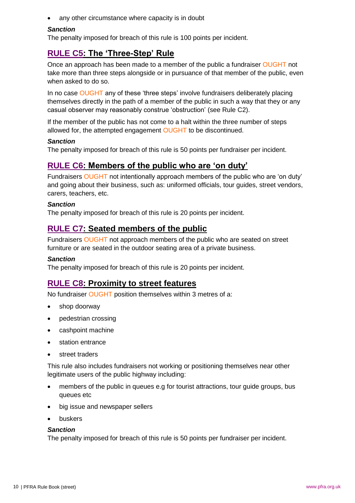• any other circumstance where capacity is in doubt

#### *Sanction*

The penalty imposed for breach of this rule is 100 points per incident.

# **RULE C5: The 'Three-Step' Rule**

Once an approach has been made to a member of the public a fundraiser OUGHT not take more than three steps alongside or in pursuance of that member of the public, even when asked to do so.

In no case OUGHT any of these 'three steps' involve fundraisers deliberately placing themselves directly in the path of a member of the public in such a way that they or any casual observer may reasonably construe 'obstruction' (see Rule C2).

If the member of the public has not come to a halt within the three number of steps allowed for, the attempted engagement OUGHT to be discontinued.

#### *Sanction*

The penalty imposed for breach of this rule is 50 points per fundraiser per incident.

#### **RULE C6: Members of the public who are 'on duty'**

Fundraisers OUGHT not intentionally approach members of the public who are 'on duty' and going about their business, such as: uniformed officials, tour guides, street vendors, carers, teachers, etc.

#### *Sanction*

The penalty imposed for breach of this rule is 20 points per incident.

#### **RULE C7: Seated members of the public**

Fundraisers OUGHT not approach members of the public who are seated on street furniture or are seated in the outdoor seating area of a private business.

#### *Sanction*

The penalty imposed for breach of this rule is 20 points per incident.

#### **RULE C8: Proximity to street features**

No fundraiser OUGHT position themselves within 3 metres of a:

- shop doorway
- pedestrian crossing
- cashpoint machine
- station entrance
- street traders

This rule also includes fundraisers not working or positioning themselves near other legitimate users of the public highway including:

- members of the public in queues e.g for tourist attractions, tour guide groups, bus queues etc
- big issue and newspaper sellers
- buskers

#### *Sanction*

The penalty imposed for breach of this rule is 50 points per fundraiser per incident.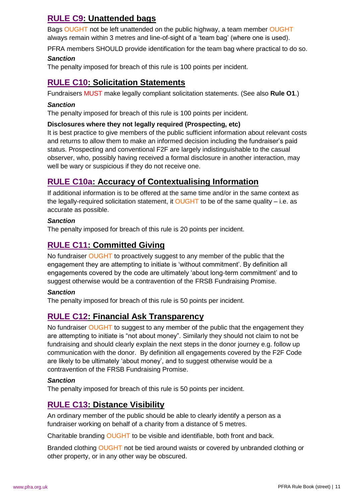# **RULE C9: Unattended bags**

Bags OUGHT not be left unattended on the public highway, a team member OUGHT always remain within 3 metres and line-of-sight of a 'team bag' (where one is used).

PFRA members SHOULD provide identification for the team bag where practical to do so.

#### *Sanction*

The penalty imposed for breach of this rule is 100 points per incident.

# **RULE C10: Solicitation Statements**

Fundraisers MUST make legally compliant solicitation statements. (See also **Rule O1**.)

#### *Sanction*

The penalty imposed for breach of this rule is 100 points per incident.

#### **Disclosures where they not legally required (Prospecting, etc)**

It is best practice to give members of the public sufficient information about relevant costs and returns to allow them to make an informed decision including the fundraiser's paid status. Prospecting and conventional F2F are largely indistinguishable to the casual observer, who, possibly having received a formal disclosure in another interaction, may well be wary or suspicious if they do not receive one.

# **RULE C10a: Accuracy of Contextualising Information**

If additional information is to be offered at the same time and/or in the same context as the legally-required solicitation statement, it OUGHT to be of the same quality  $-$  i.e. as accurate as possible.

#### *Sanction*

The penalty imposed for breach of this rule is 20 points per incident.

# **RULE C11: Committed Giving**

No fundraiser OUGHT to proactively suggest to any member of the public that the engagement they are attempting to initiate is 'without commitment'. By definition all engagements covered by the code are ultimately 'about long-term commitment' and to suggest otherwise would be a contravention of the FRSB Fundraising Promise.

#### *Sanction*

The penalty imposed for breach of this rule is 50 points per incident.

# **RULE C12: Financial Ask Transparency**

No fundraiser OUGHT to suggest to any member of the public that the engagement they are attempting to initiate is "not about money". Similarly they should not claim to not be fundraising and should clearly explain the next steps in the donor journey e.g. follow up communication with the donor. By definition all engagements covered by the F2F Code are likely to be ultimately 'about money', and to suggest otherwise would be a contravention of the FRSB Fundraising Promise.

#### *Sanction*

The penalty imposed for breach of this rule is 50 points per incident.

# **RULE C13: Distance Visibility**

An ordinary member of the public should be able to clearly identify a person as a fundraiser working on behalf of a charity from a distance of 5 metres.

Charitable branding OUGHT to be visible and identifiable, both front and back.

Branded clothing OUGHT not be tied around waists or covered by unbranded clothing or other property, or in any other way be obscured.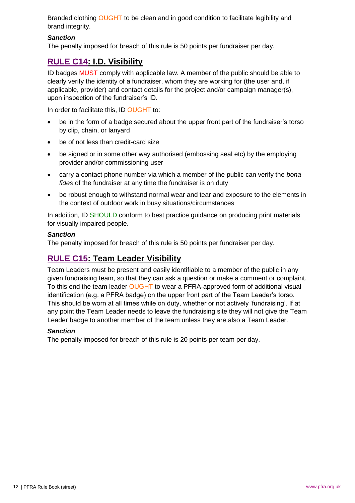Branded clothing OUGHT to be clean and in good condition to facilitate legibility and brand integrity.

#### *Sanction*

The penalty imposed for breach of this rule is 50 points per fundraiser per day.

# **RULE C14: I.D. Visibility**

ID badges MUST comply with applicable law. A member of the public should be able to clearly verify the identity of a fundraiser, whom they are working for (the user and, if applicable, provider) and contact details for the project and/or campaign manager(s), upon inspection of the fundraiser's ID.

In order to facilitate this, ID OUGHT to:

- be in the form of a badge secured about the upper front part of the fundraiser's torso by clip, chain, or lanyard
- be of not less than credit-card size
- be signed or in some other way authorised (embossing seal etc) by the employing provider and/or commissioning user
- carry a contact phone number via which a member of the public can verify the *bona fides* of the fundraiser at any time the fundraiser is on duty
- be robust enough to withstand normal wear and tear and exposure to the elements in the context of outdoor work in busy situations/circumstances

In addition, ID SHOULD conform to best practice guidance on producing print materials for visually impaired people.

#### *Sanction*

The penalty imposed for breach of this rule is 50 points per fundraiser per day.

# **RULE C15: Team Leader Visibility**

Team Leaders must be present and easily identifiable to a member of the public in any given fundraising team, so that they can ask a question or make a comment or complaint. To this end the team leader OUGHT to wear a PFRA-approved form of additional visual identification (e.g. a PFRA badge) on the upper front part of the Team Leader's torso. This should be worn at all times while on duty, whether or not actively 'fundraising'. If at any point the Team Leader needs to leave the fundraising site they will not give the Team Leader badge to another member of the team unless they are also a Team Leader.

#### *Sanction*

The penalty imposed for breach of this rule is 20 points per team per day.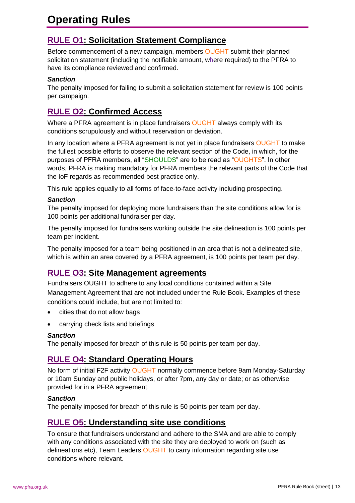# **Operating Rules**

# **RULE O1: Solicitation Statement Compliance**

Before commencement of a new campaign, members OUGHT submit their planned solicitation statement (including the notifiable amount, where required) to the PFRA to have its compliance reviewed and confirmed.

#### *Sanction*

The penalty imposed for failing to submit a solicitation statement for review is 100 points per campaign.

# **RULE O2: Confirmed Access**

Where a PFRA agreement is in place fundraisers OUGHT always comply with its conditions scrupulously and without reservation or deviation.

In any location where a PFRA agreement is not yet in place fundraisers OUGHT to make the fullest possible efforts to observe the relevant section of the Code, in which, for the purposes of PFRA members, all "SHOULDS" are to be read as "OUGHTS". In other words, PFRA is making mandatory for PFRA members the relevant parts of the Code that the IoF regards as recommended best practice only.

This rule applies equally to all forms of face-to-face activity including prospecting.

#### *Sanction*

The penalty imposed for deploying more fundraisers than the site conditions allow for is 100 points per additional fundraiser per day.

The penalty imposed for fundraisers working outside the site delineation is 100 points per team per incident.

The penalty imposed for a team being positioned in an area that is not a delineated site, which is within an area covered by a PFRA agreement, is 100 points per team per day.

# **RULE O3: Site Management agreements**

Fundraisers OUGHT to adhere to any local conditions contained within a Site Management Agreement that are not included under the Rule Book. Examples of these conditions could include, but are not limited to:

- cities that do not allow bags
- carrying check lists and briefings

#### *Sanction*

The penalty imposed for breach of this rule is 50 points per team per day.

# **RULE O4: Standard Operating Hours**

No form of initial F2F activity OUGHT normally commence before 9am Monday-Saturday or 10am Sunday and public holidays, or after 7pm, any day or date; or as otherwise provided for in a PFRA agreement.

#### *Sanction*

The penalty imposed for breach of this rule is 50 points per team per day.

# **RULE O5: Understanding site use conditions**

To ensure that fundraisers understand and adhere to the SMA and are able to comply with any conditions associated with the site they are deployed to work on (such as delineations etc), Team Leaders OUGHT to carry information regarding site use conditions where relevant.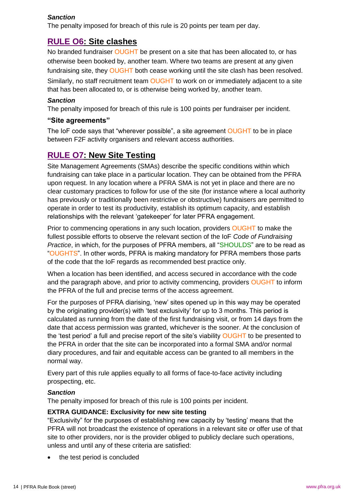#### *Sanction*

The penalty imposed for breach of this rule is 20 points per team per day.

#### **RULE O6: Site clashes**

No branded fundraiser OUGHT be present on a site that has been allocated to, or has otherwise been booked by, another team. Where two teams are present at any given fundraising site, they OUGHT both cease working until the site clash has been resolved. Similarly, no staff recruitment team OUGHT to work on or immediately adjacent to a site that has been allocated to, or is otherwise being worked by, another team.

#### *Sanction*

The penalty imposed for breach of this rule is 100 points per fundraiser per incident.

#### **"Site agreements"**

The IoF code says that "wherever possible", a site agreement OUGHT to be in place between F2F activity organisers and relevant access authorities.

# **RULE O7: New Site Testing**

Site Management Agreements (SMAs) describe the specific conditions within which fundraising can take place in a particular location. They can be obtained from the PFRA upon request. In any location where a PFRA SMA is not yet in place and there are no clear customary practices to follow for use of the site (for instance where a local authority has previously or traditionally been restrictive or obstructive) fundraisers are permitted to operate in order to test its productivity, establish its optimum capacity, and establish relationships with the relevant 'gatekeeper' for later PFRA engagement.

Prior to commencing operations in any such location, providers OUGHT to make the fullest possible efforts to observe the relevant section of the IoF *Code of Fundraising Practice*, in which, for the purposes of PFRA members, all "SHOULDS" are to be read as "OUGHTS". In other words, PFRA is making mandatory for PFRA members those parts of the code that the IoF regards as recommended best practice only.

When a location has been identified, and access secured in accordance with the code and the paragraph above, and prior to activity commencing, providers OUGHT to inform the PFRA of the full and precise terms of the access agreement.

For the purposes of PFRA diarising, 'new' sites opened up in this way may be operated by the originating provider(s) with 'test exclusivity' for up to 3 months. This period is calculated as running from the date of the first fundraising visit, or from 14 days from the date that access permission was granted, whichever is the sooner. At the conclusion of the 'test period' a full and precise report of the site's viability OUGHT to be presented to the PFRA in order that the site can be incorporated into a formal SMA and/or normal diary procedures, and fair and equitable access can be granted to all members in the normal way.

Every part of this rule applies equally to all forms of face-to-face activity including prospecting, etc.

#### *Sanction*

The penalty imposed for breach of this rule is 100 points per incident.

#### **EXTRA GUIDANCE: Exclusivity for new site testing**

"Exclusivity" for the purposes of establishing new capacity by 'testing' means that the PFRA will not broadcast the existence of operations in a relevant site or offer use of that site to other providers, nor is the provider obliged to publicly declare such operations, unless and until any of these criteria are satisfied:

the test period is concluded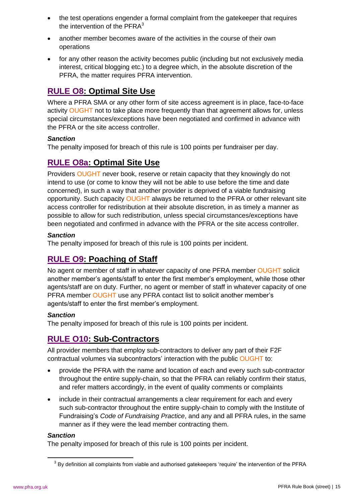- the test operations engender a formal complaint from the gatekeeper that requires the intervention of the  $PFRA<sup>3</sup>$
- another member becomes aware of the activities in the course of their own operations
- for any other reason the activity becomes public (including but not exclusively media interest, critical blogging etc.) to a degree which, in the absolute discretion of the PFRA, the matter requires PFRA intervention.

# **RULE O8: Optimal Site Use**

Where a PFRA SMA or any other form of site access agreement is in place, face-to-face activity OUGHT not to take place more frequently than that agreement allows for, unless special circumstances/exceptions have been negotiated and confirmed in advance with the PFRA or the site access controller.

#### *Sanction*

The penalty imposed for breach of this rule is 100 points per fundraiser per day.

# **RULE O8a: Optimal Site Use**

Providers OUGHT never book, reserve or retain capacity that they knowingly do not intend to use (or come to know they will not be able to use before the time and date concerned), in such a way that another provider is deprived of a viable fundraising opportunity. Such capacity OUGHT always be returned to the PFRA or other relevant site access controller for redistribution at their absolute discretion, in as timely a manner as possible to allow for such redistribution, unless special circumstances/exceptions have been negotiated and confirmed in advance with the PFRA or the site access controller.

#### *Sanction*

The penalty imposed for breach of this rule is 100 points per incident.

# **RULE O9: Poaching of Staff**

No agent or member of staff in whatever capacity of one PFRA member OUGHT solicit another member's agents/staff to enter the first member's employment, while those other agents/staff are on duty. Further, no agent or member of staff in whatever capacity of one PFRA member OUGHT use any PFRA contact list to solicit another member's agents/staff to enter the first member's employment.

#### *Sanction*

The penalty imposed for breach of this rule is 100 points per incident.

# **RULE O10: Sub-Contractors**

All provider members that employ sub-contractors to deliver any part of their F2F contractual volumes via subcontractors' interaction with the public OUGHT to:

- provide the PFRA with the name and location of each and every such sub-contractor throughout the entire supply-chain, so that the PFRA can reliably confirm their status, and refer matters accordingly, in the event of quality comments or complaints
- include in their contractual arrangements a clear requirement for each and every such sub-contractor throughout the entire supply-chain to comply with the Institute of Fundraising's *Code of Fundraising Practice*, and any and all PFRA rules, in the same manner as if they were the lead member contracting them.

#### *Sanction*

1

The penalty imposed for breach of this rule is 100 points per incident.

 $3$  By definition all complaints from viable and authorised gatekeepers 'require' the intervention of the PFRA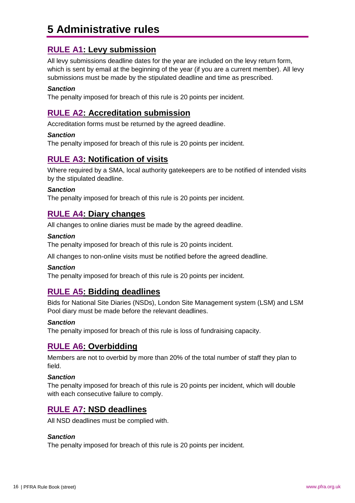# **5 Administrative rules**

# **RULE A1: Levy submission**

All levy submissions deadline dates for the year are included on the levy return form, which is sent by email at the beginning of the year (if you are a current member). All levy submissions must be made by the stipulated deadline and time as prescribed.

#### *Sanction*

The penalty imposed for breach of this rule is 20 points per incident.

#### **RULE A2: Accreditation submission**

Accreditation forms must be returned by the agreed deadline.

#### *Sanction*

The penalty imposed for breach of this rule is 20 points per incident.

#### **RULE A3: Notification of visits**

Where required by a SMA, local authority gatekeepers are to be notified of intended visits by the stipulated deadline.

#### *Sanction*

The penalty imposed for breach of this rule is 20 points per incident.

#### **RULE A4: Diary changes**

All changes to online diaries must be made by the agreed deadline.

#### *Sanction*

The penalty imposed for breach of this rule is 20 points incident.

All changes to non-online visits must be notified before the agreed deadline.

#### *Sanction*

The penalty imposed for breach of this rule is 20 points per incident.

#### **RULE A5: Bidding deadlines**

Bids for National Site Diaries (NSDs), London Site Management system (LSM) and LSM Pool diary must be made before the relevant deadlines.

#### *Sanction*

The penalty imposed for breach of this rule is loss of fundraising capacity.

#### **RULE A6: Overbidding**

Members are not to overbid by more than 20% of the total number of staff they plan to field.

#### *Sanction*

The penalty imposed for breach of this rule is 20 points per incident, which will double with each consecutive failure to comply.

#### **RULE A7: NSD deadlines**

All NSD deadlines must be complied with.

#### *Sanction*

The penalty imposed for breach of this rule is 20 points per incident.